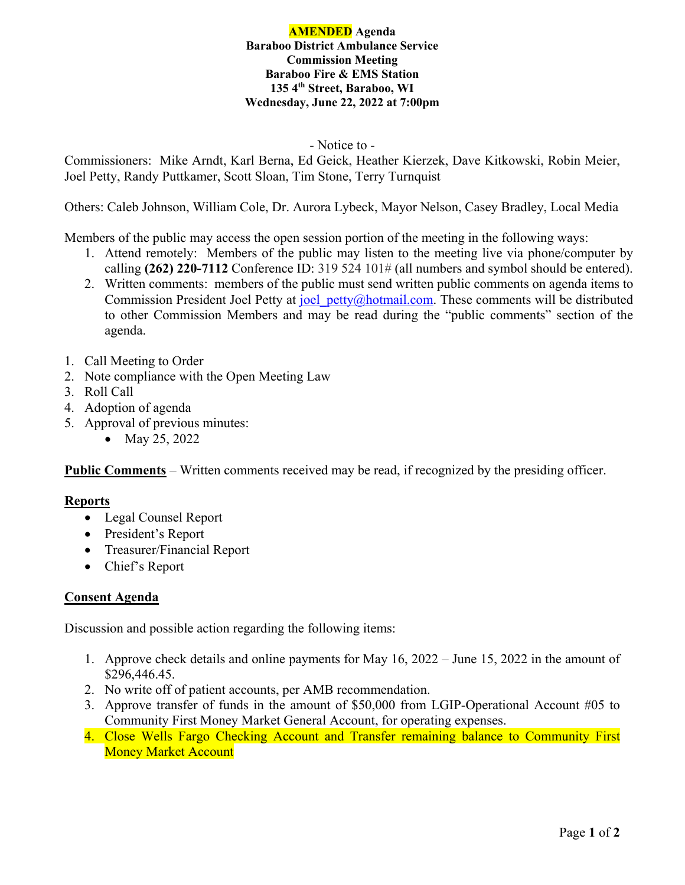### **AMENDED Agenda Baraboo District Ambulance Service Commission Meeting Baraboo Fire & EMS Station 135 4th Street, Baraboo, WI Wednesday, June 22, 2022 at 7:00pm**

### - Notice to -

Commissioners: Mike Arndt, Karl Berna, Ed Geick, Heather Kierzek, Dave Kitkowski, Robin Meier, Joel Petty, Randy Puttkamer, Scott Sloan, Tim Stone, Terry Turnquist

Others: Caleb Johnson, William Cole, Dr. Aurora Lybeck, Mayor Nelson, Casey Bradley, Local Media

Members of the public may access the open session portion of the meeting in the following ways:

- 1. Attend remotely: Members of the public may listen to the meeting live via phone/computer by calling **(262) 220-7112** Conference ID: 319 524 101# (all numbers and symbol should be entered).
- 2. Written comments: members of the public must send written public comments on agenda items to Commission President Joel Petty at joel petty@hotmail.com. These comments will be distributed to other Commission Members and may be read during the "public comments" section of the agenda.
- 1. Call Meeting to Order
- 2. Note compliance with the Open Meeting Law
- 3. Roll Call
- 4. Adoption of agenda
- 5. Approval of previous minutes:
	- May 25, 2022

**Public Comments** – Written comments received may be read, if recognized by the presiding officer.

# **Reports**

- Legal Counsel Report
- President's Report
- Treasurer/Financial Report
- Chief's Report

# **Consent Agenda**

Discussion and possible action regarding the following items:

- 1. Approve check details and online payments for May 16, 2022 June 15, 2022 in the amount of \$296,446.45.
- 2. No write off of patient accounts, per AMB recommendation.
- 3. Approve transfer of funds in the amount of \$50,000 from LGIP-Operational Account #05 to Community First Money Market General Account, for operating expenses.
- 4. Close Wells Fargo Checking Account and Transfer remaining balance to Community First Money Market Account